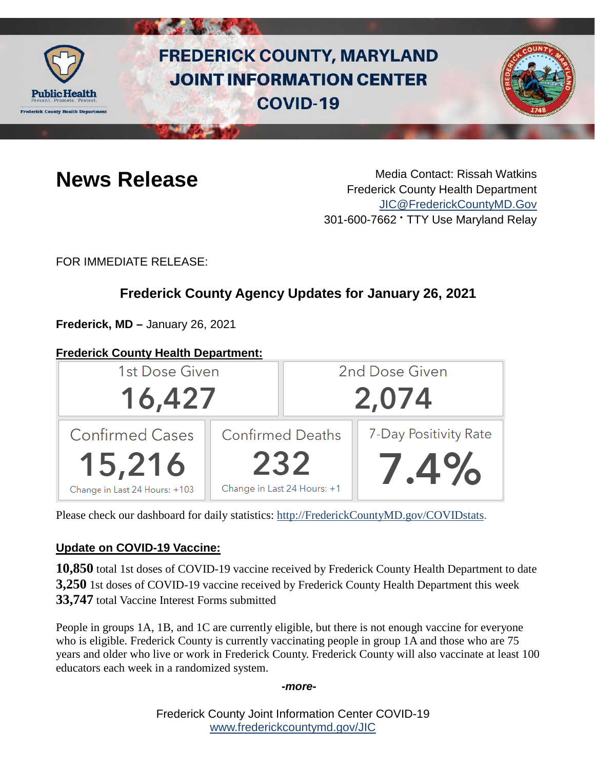

# **FREDERICK COUNTY, MARYLAND JOINT INFORMATION CENTER COVID-19**



**News Release** Media Contact: Rissah Watkins Frederick County Health Department [JIC@FrederickCountyMD.Gov](mailto:JIC@FrederickCountyMD.Gov) 301-600-7662 • TTY Use Maryland Relay

FOR IMMEDIATE RELEASE:

## **Frederick County Agency Updates for January 26, 2021**

**Frederick, MD –** January 26, 2021

#### **Frederick County Health Department:**



Please check our dashboard for daily statistics: [http://FrederickCountyMD.gov/COVIDstats.](http://frederickcountymd.gov/COVIDstats)

### **Update on COVID-19 Vaccine:**

**10,850** total 1st doses of COVID-19 vaccine received by Frederick County Health Department to date **3,250** 1st doses of COVID-19 vaccine received by Frederick County Health Department this week **33,747** total Vaccine Interest Forms submitted

People in groups 1A, 1B, and 1C are currently eligible, but there is not enough vaccine for everyone who is eligible. Frederick County is currently vaccinating people in group 1A and those who are 75 years and older who live or work in Frederick County. Frederick County will also vaccinate at least 100 educators each week in a randomized system.

#### *-more-*

Frederick County Joint Information Center COVID-19 [www.frederickcountymd.gov/JIC](https://frederickcountymd.gov/JIC)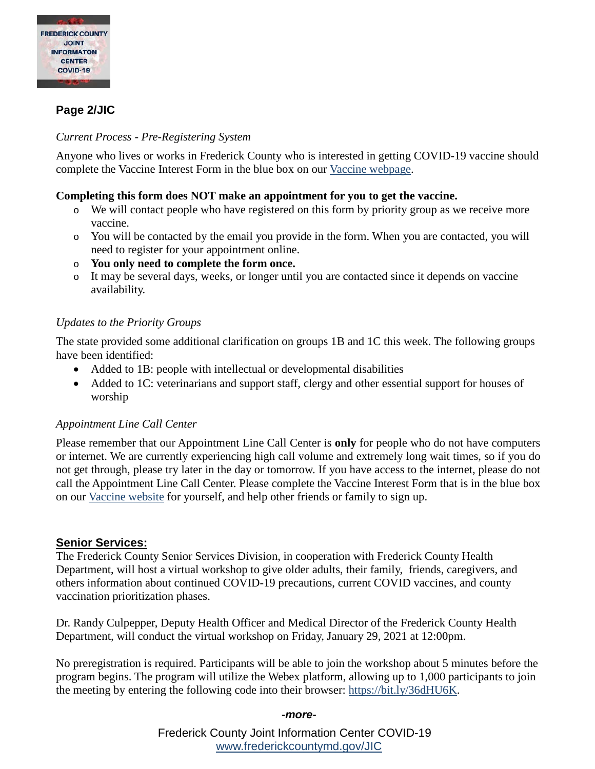

#### **Page 2/JIC**

#### *Current Process - Pre-Registering System*

Anyone who lives or works in Frederick County who is interested in getting COVID-19 vaccine should complete the Vaccine Interest Form in the blue box on our [Vaccine webpage.](https://health.frederickcountymd.gov/629/COVID-19-Vaccine)

#### **Completing this form does NOT make an appointment for you to get the vaccine.**

- o We will contact people who have registered on this form by priority group as we receive more vaccine.
- o You will be contacted by the email you provide in the form. When you are contacted, you will need to register for your appointment online.
- o **You only need to complete the form once.**
- o It may be several days, weeks, or longer until you are contacted since it depends on vaccine availability.

#### *Updates to the Priority Groups*

The state provided some additional clarification on groups 1B and 1C this week. The following groups have been identified:

- Added to 1B: people with intellectual or developmental disabilities
- Added to 1C: veterinarians and support staff, clergy and other essential support for houses of worship

#### *Appointment Line Call Center*

Please remember that our Appointment Line Call Center is **only** for people who do not have computers or internet. We are currently experiencing high call volume and extremely long wait times, so if you do not get through, please try later in the day or tomorrow. If you have access to the internet, please do not call the Appointment Line Call Center. Please complete the Vaccine Interest Form that is in the blue box on our [Vaccine website](https://health.frederickcountymd.gov/629/8508/COVID-19-Vaccine) for yourself, and help other friends or family to sign up.

#### **Senior Services:**

The Frederick County Senior Services Division, in cooperation with Frederick County Health Department, will host a virtual workshop to give older adults, their family, friends, caregivers, and others information about continued COVID-19 precautions, current COVID vaccines, and county vaccination prioritization phases.

Dr. Randy Culpepper, Deputy Health Officer and Medical Director of the Frederick County Health Department, will conduct the virtual workshop on Friday, January 29, 2021 at 12:00pm.

No preregistration is required. Participants will be able to join the workshop about 5 minutes before the program begins. The program will utilize the Webex platform, allowing up to 1,000 participants to join the meeting by entering the following code into their browser: [https://bit.ly/36dHU6K.](https://bit.ly/36dHU6K)

#### *-more-*

Frederick County Joint Information Center COVID-19 [www.frederickcountymd.gov/JIC](https://frederickcountymd.gov/JIC)